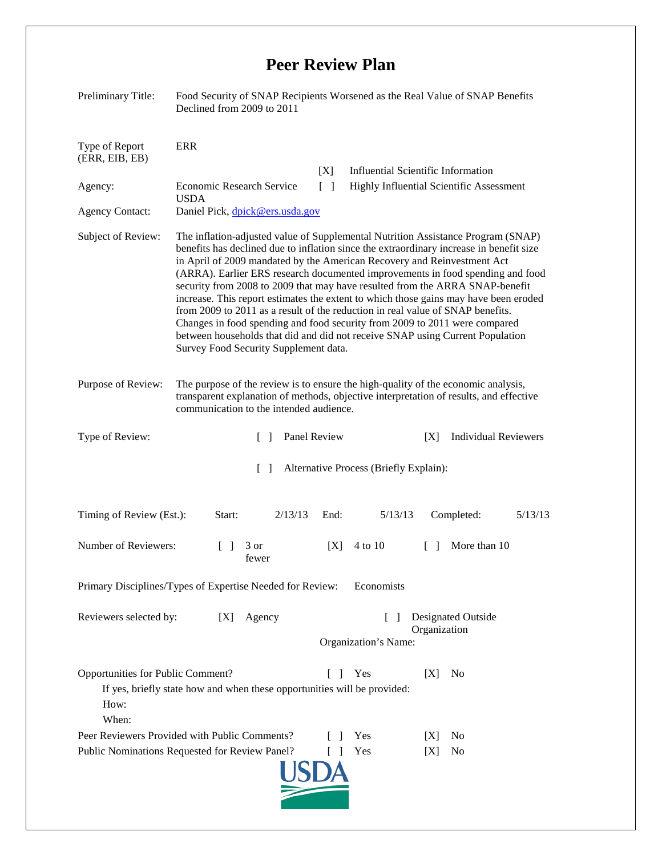## **Peer Review Plan**

| Preliminary Title:                                                                                                                                                                   | Food Security of SNAP Recipients Worsened as the Real Value of SNAP Benefits<br>Declined from 2009 to 2011                                                                                                                                                                                                                                                                                                                                                                                                                                                                                                                                                                                                                                                                                                 |                                                                      |                                                 |
|--------------------------------------------------------------------------------------------------------------------------------------------------------------------------------------|------------------------------------------------------------------------------------------------------------------------------------------------------------------------------------------------------------------------------------------------------------------------------------------------------------------------------------------------------------------------------------------------------------------------------------------------------------------------------------------------------------------------------------------------------------------------------------------------------------------------------------------------------------------------------------------------------------------------------------------------------------------------------------------------------------|----------------------------------------------------------------------|-------------------------------------------------|
| Type of Report<br>(ERR, EIB, EB)                                                                                                                                                     | <b>ERR</b>                                                                                                                                                                                                                                                                                                                                                                                                                                                                                                                                                                                                                                                                                                                                                                                                 |                                                                      |                                                 |
|                                                                                                                                                                                      |                                                                                                                                                                                                                                                                                                                                                                                                                                                                                                                                                                                                                                                                                                                                                                                                            | [X]                                                                  | <b>Influential Scientific Information</b>       |
| Agency:                                                                                                                                                                              | Economic Research Service<br><b>USDA</b>                                                                                                                                                                                                                                                                                                                                                                                                                                                                                                                                                                                                                                                                                                                                                                   | $\lceil$ $\rceil$                                                    | <b>Highly Influential Scientific Assessment</b> |
| <b>Agency Contact:</b>                                                                                                                                                               | Daniel Pick, dpick@ers.usda.gov                                                                                                                                                                                                                                                                                                                                                                                                                                                                                                                                                                                                                                                                                                                                                                            |                                                                      |                                                 |
| Subject of Review:                                                                                                                                                                   | The inflation-adjusted value of Supplemental Nutrition Assistance Program (SNAP)<br>benefits has declined due to inflation since the extraordinary increase in benefit size<br>in April of 2009 mandated by the American Recovery and Reinvestment Act<br>(ARRA). Earlier ERS research documented improvements in food spending and food<br>security from 2008 to 2009 that may have resulted from the ARRA SNAP-benefit<br>increase. This report estimates the extent to which those gains may have been eroded<br>from 2009 to 2011 as a result of the reduction in real value of SNAP benefits.<br>Changes in food spending and food security from 2009 to 2011 were compared<br>between households that did and did not receive SNAP using Current Population<br>Survey Food Security Supplement data. |                                                                      |                                                 |
| Purpose of Review:                                                                                                                                                                   | The purpose of the review is to ensure the high-quality of the economic analysis,<br>transparent explanation of methods, objective interpretation of results, and effective<br>communication to the intended audience.                                                                                                                                                                                                                                                                                                                                                                                                                                                                                                                                                                                     |                                                                      |                                                 |
| Type of Review:                                                                                                                                                                      | Panel Review<br>$\Box$                                                                                                                                                                                                                                                                                                                                                                                                                                                                                                                                                                                                                                                                                                                                                                                     |                                                                      | <b>Individual Reviewers</b><br>[X]              |
| Alternative Process (Briefly Explain):<br>$\Box$                                                                                                                                     |                                                                                                                                                                                                                                                                                                                                                                                                                                                                                                                                                                                                                                                                                                                                                                                                            |                                                                      |                                                 |
| Timing of Review (Est.):                                                                                                                                                             | Start:<br>2/13/13                                                                                                                                                                                                                                                                                                                                                                                                                                                                                                                                                                                                                                                                                                                                                                                          | 5/13/13<br>End:                                                      | Completed:<br>5/13/13                           |
| Number of Reviewers:                                                                                                                                                                 | 3 or<br>$\mathbf{1}$<br>fewer                                                                                                                                                                                                                                                                                                                                                                                                                                                                                                                                                                                                                                                                                                                                                                              | 4 to 10<br>[X]                                                       | More than 10<br>$\Box$                          |
| Primary Disciplines/Types of Expertise Needed for Review: Economists                                                                                                                 |                                                                                                                                                                                                                                                                                                                                                                                                                                                                                                                                                                                                                                                                                                                                                                                                            |                                                                      |                                                 |
| Reviewers selected by:<br>Agency<br>[X]                                                                                                                                              |                                                                                                                                                                                                                                                                                                                                                                                                                                                                                                                                                                                                                                                                                                                                                                                                            | Designated Outside<br>$\Box$<br>Organization<br>Organization's Name: |                                                 |
| Opportunities for Public Comment?<br>$\lceil \; \rceil$<br>Yes<br>[X]<br>N <sub>0</sub><br>If yes, briefly state how and when these opportunities will be provided:<br>How:<br>When: |                                                                                                                                                                                                                                                                                                                                                                                                                                                                                                                                                                                                                                                                                                                                                                                                            |                                                                      |                                                 |
| Peer Reviewers Provided with Public Comments?                                                                                                                                        |                                                                                                                                                                                                                                                                                                                                                                                                                                                                                                                                                                                                                                                                                                                                                                                                            | Yes                                                                  | N <sub>0</sub><br> X                            |
| Public Nominations Requested for Review Panel?<br>Yes<br>No<br>L<br>[X]                                                                                                              |                                                                                                                                                                                                                                                                                                                                                                                                                                                                                                                                                                                                                                                                                                                                                                                                            |                                                                      |                                                 |